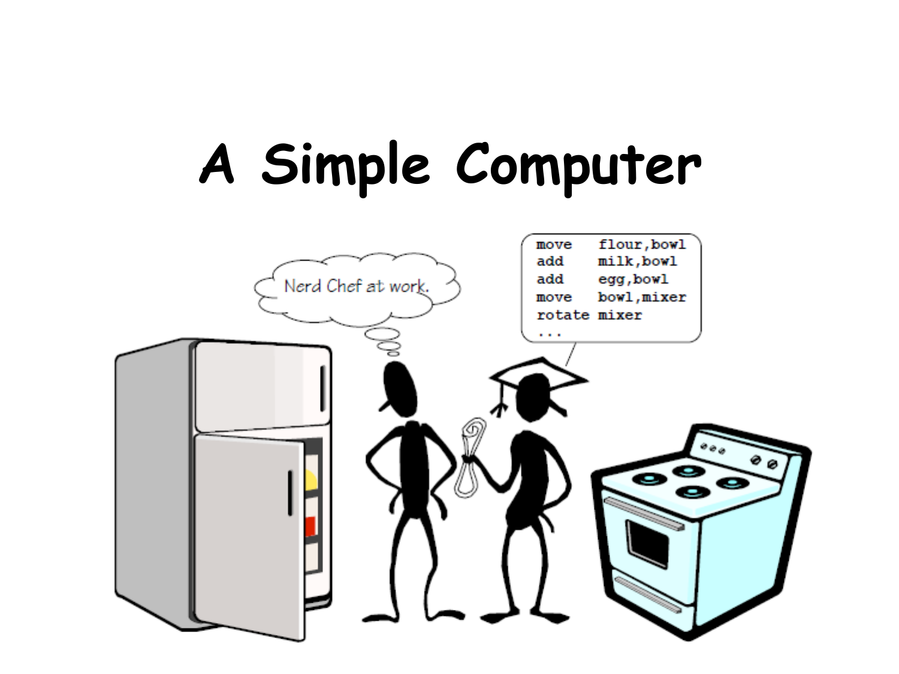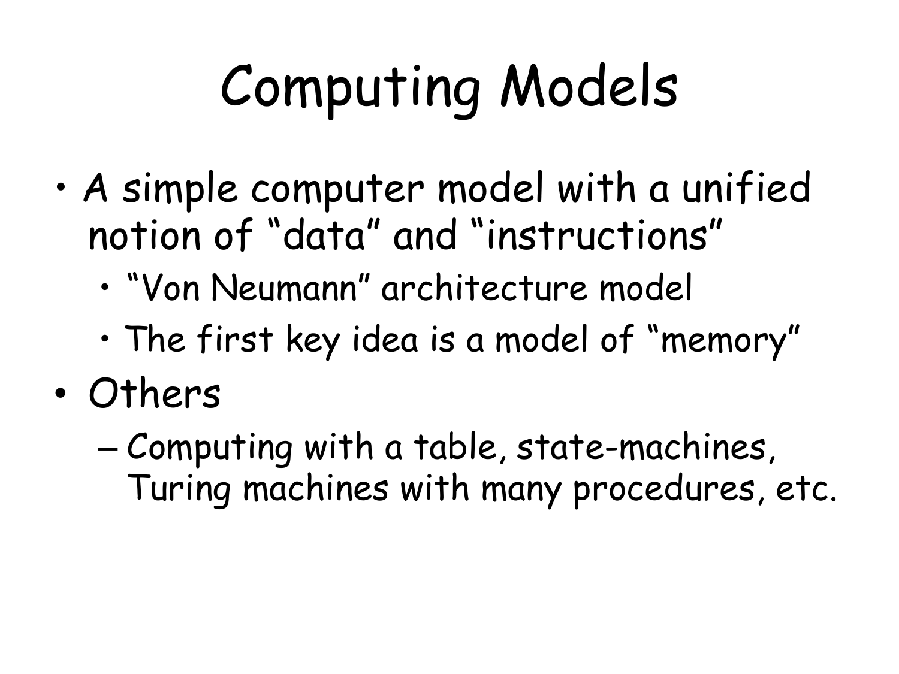## Computing Models

- A simple computer model with a unified notion of "data" and "instructions"
	- "Von Neumann" architecture model
	- The first key idea is a model of "memory"
- Others
	- Computing with a table, state-machines, Turing machines with many procedures, etc.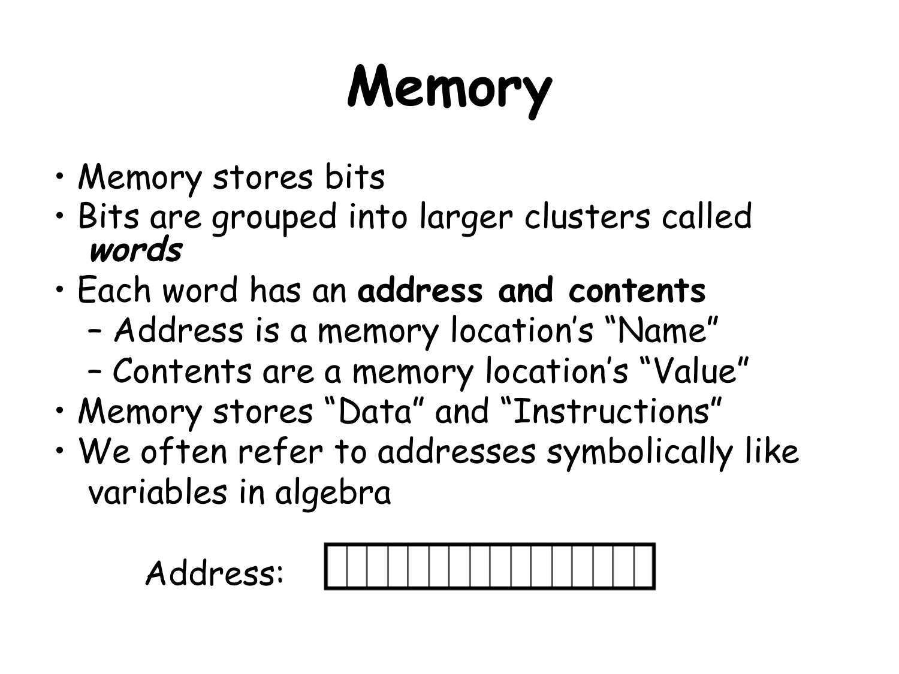## **Memory**

- Memory stores bits
- Bits are grouped into larger clusters called **words**
- Each word has an **address and contents** 
	- Address is a memory location's "Name"
	- Contents are a memory location's "Value"
- Memory stores "Data" and "Instructions"
- We often refer to addresses symbolically like variables in algebra

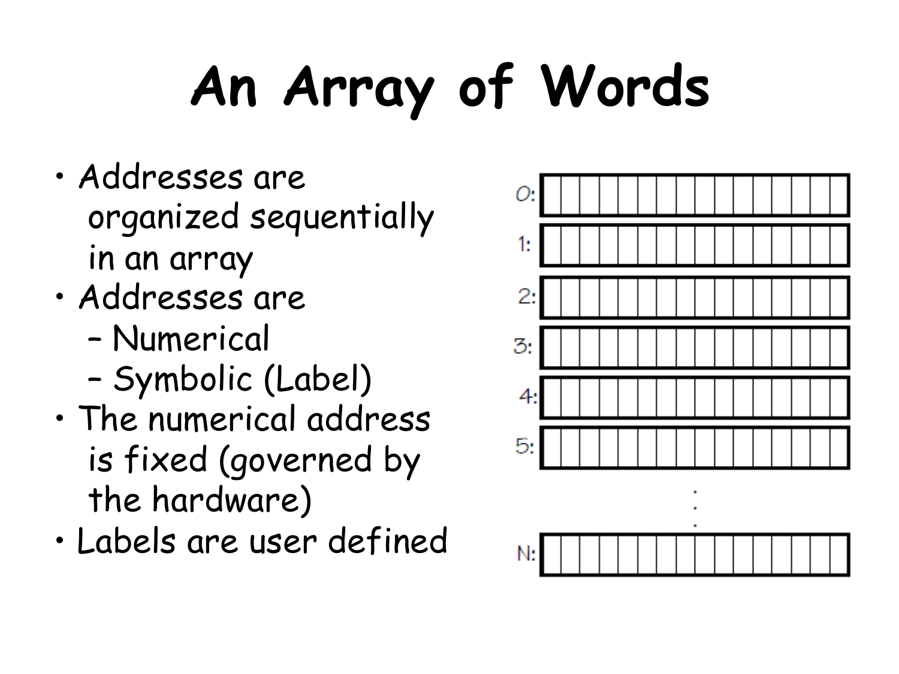## **An Array of Words**

- Addresses are organized sequentially in an array
- Addresses are
	- Numerical
	- Symbolic (Label)
- The numerical address is fixed (governed by the hardware)
- Labels are user defined

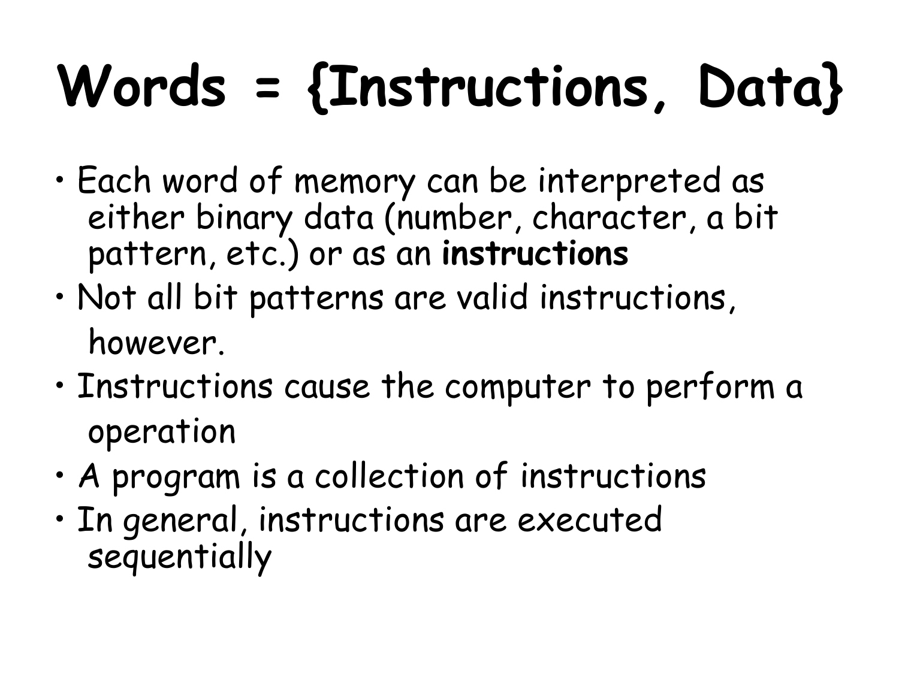## **Words = {Instructions, Data}**

- Each word of memory can be interpreted as either binary data (number, character, a bit pattern, etc.) or as an **instructions**
- Not all bit patterns are valid instructions, however.
- Instructions cause the computer to perform a operation
- A program is a collection of instructions
- In general, instructions are executed sequentially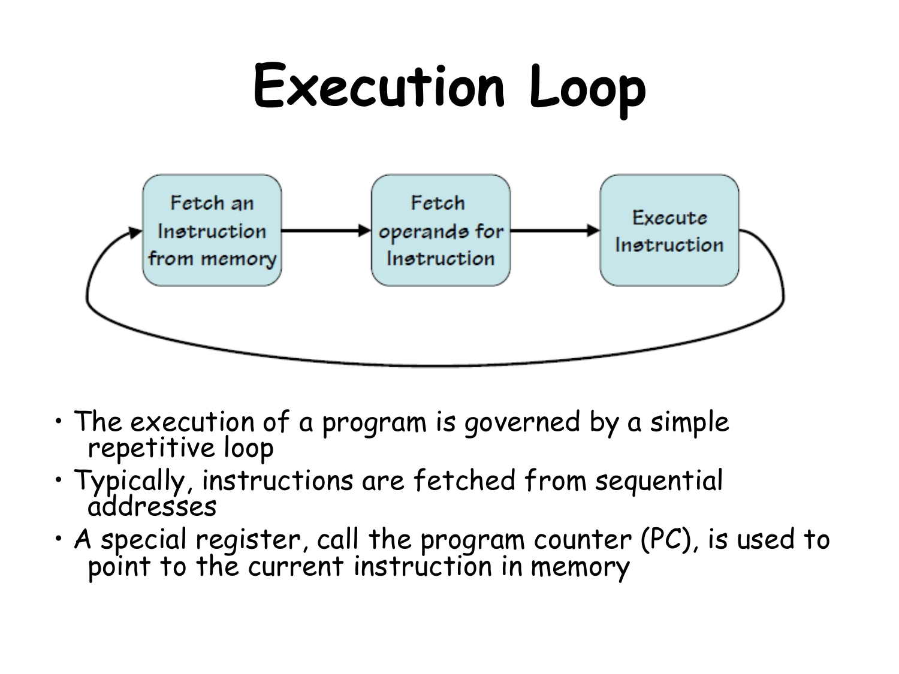### **Execution Loop**



- The execution of a program is governed by a simple repetitive loop
- Typically, instructions are fetched from sequential addresses
- A special register, call the program counter (PC), is used to point to the current instruction in memory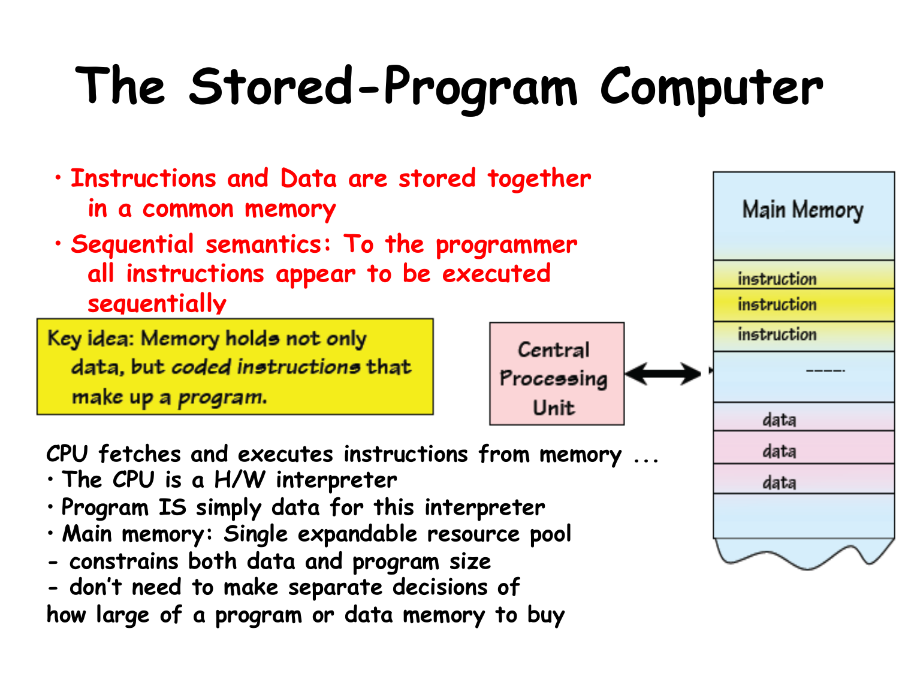#### **The Stored-Program Computer**

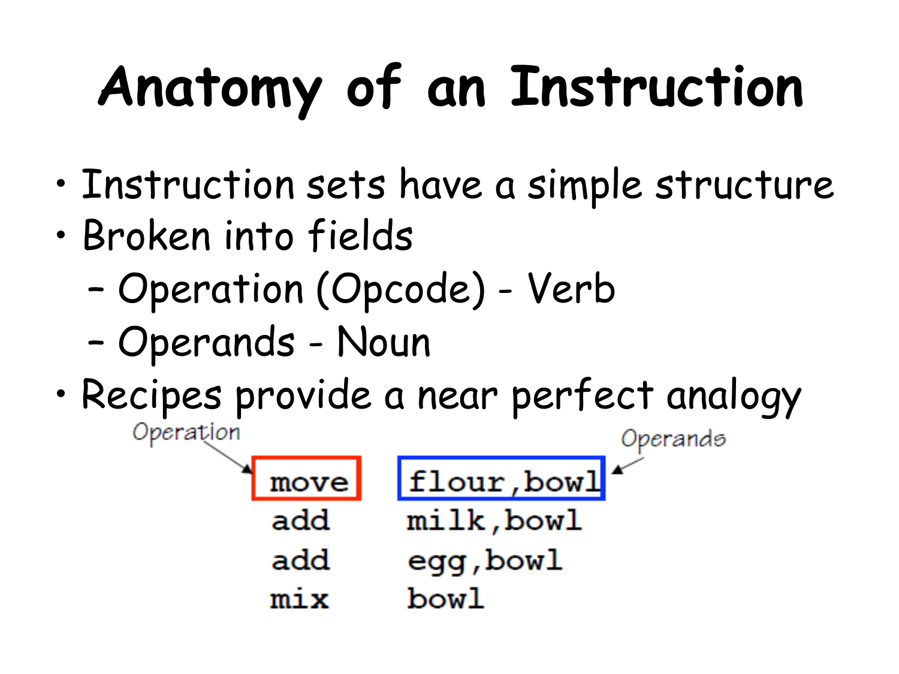## **Anatomy of an Instruction**

- Instruction sets have a simple structure
- Broken into fields
	- Operation (Opcode) Verb
	- Operands Noun
- Recipes provide a near perfect analogy Operation Operands

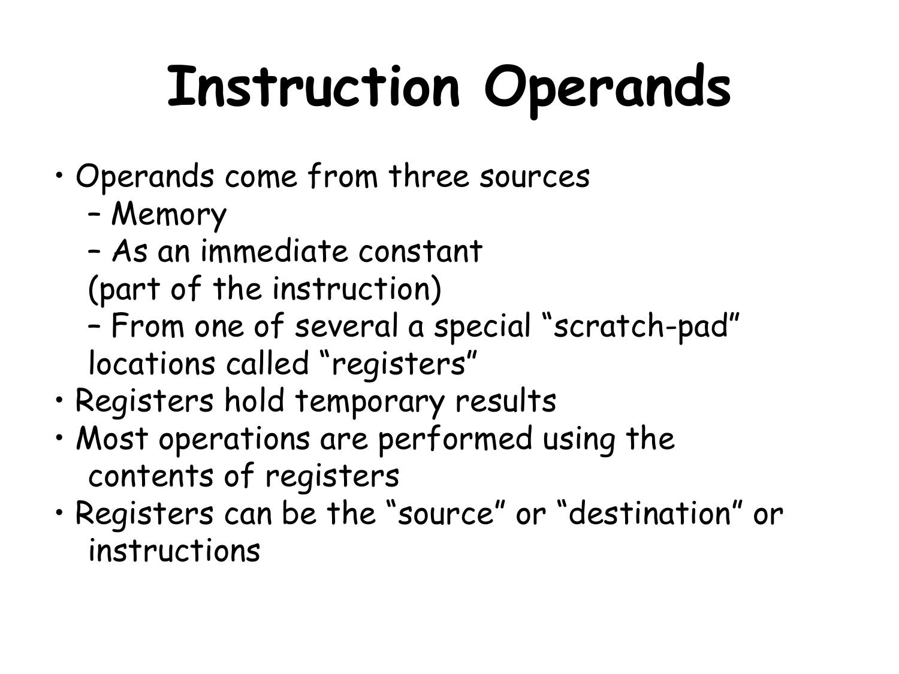## **Instruction Operands**

- Operands come from three sources
	- Memory
	- As an immediate constant
	- (part of the instruction)
	- From one of several a special "scratch-pad" locations called "registers"
- Registers hold temporary results
- Most operations are performed using the contents of registers
- Registers can be the "source" or "destination" or instructions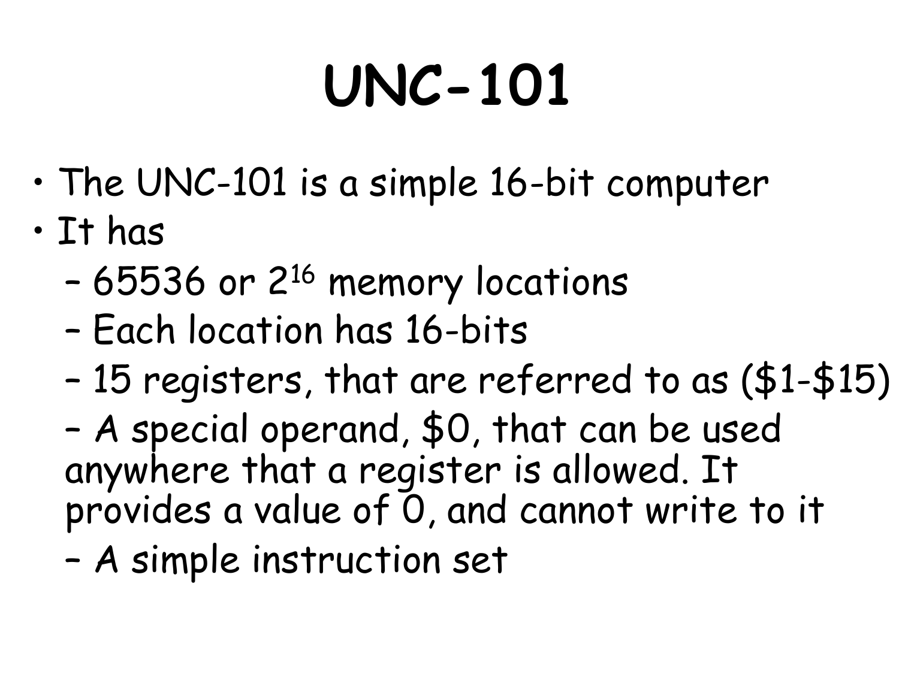## **UNC-101**

- The UNC-101 is a simple 16-bit computer
- It has
	- 65536 or 216 memory locations
	- Each location has 16-bits
	- 15 registers, that are referred to as (\$1-\$15)
	- A special operand, \$0, that can be used anywhere that a register is allowed. It provides a value of 0, and cannot write to it
	- A simple instruction set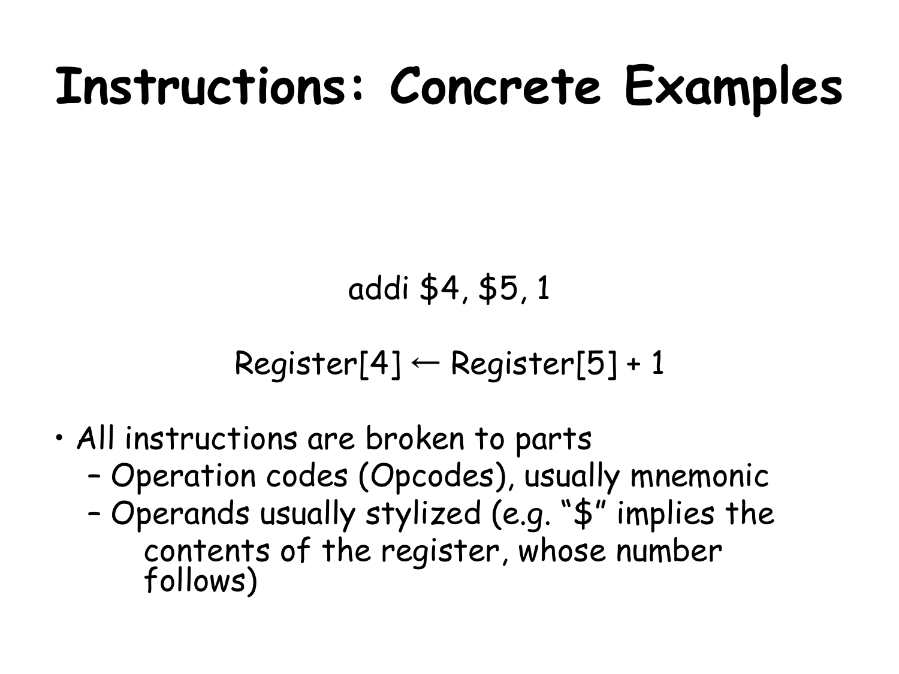#### **Instructions: Concrete Examples**

#### addi \$4, \$5, 1

 $Register[4] \leftarrow Register[5]+1$ 

- All instructions are broken to parts
	- Operation codes (Opcodes), usually mnemonic
	- Operands usually stylized (e.g. "\$" implies the contents of the register, whose number follows)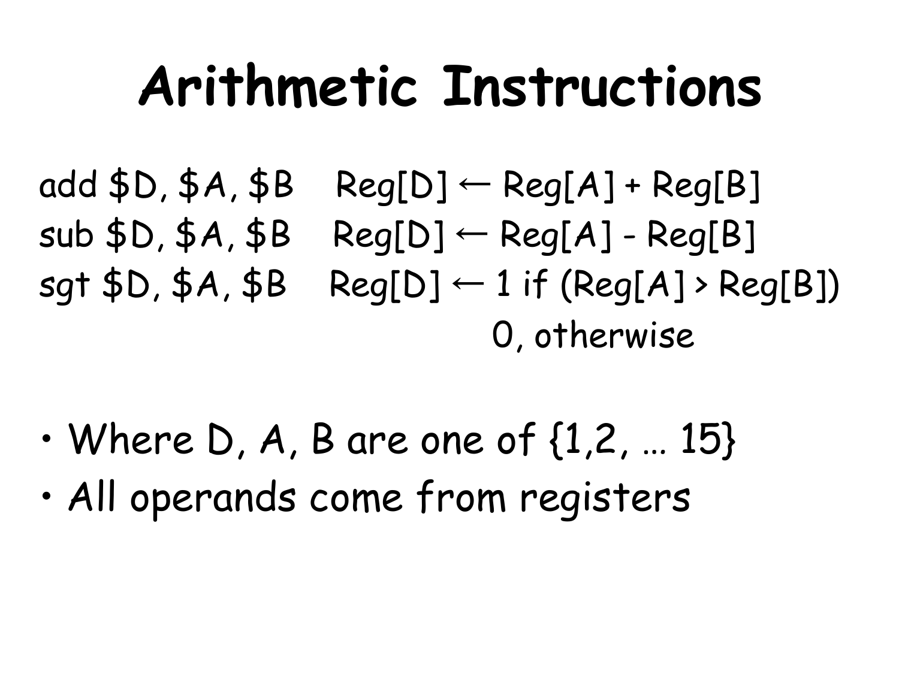#### **Arithmetic Instructions**

- add  $$D, $A, $B$  Reg[D]  $\leftarrow$  Reg[A] + Reg[B]  $sub$  \$D, \$A, \$B Reg[D]  $\leftarrow$  Reg[A] - Reg[B] sgt  $$D, $A, $B$  Reg[D]  $\leftarrow$  1 if (Reg[A] > Reg[B]) 0, otherwise
- Where D, A, B are one of  $\{1,2,...15\}$
- All operands come from registers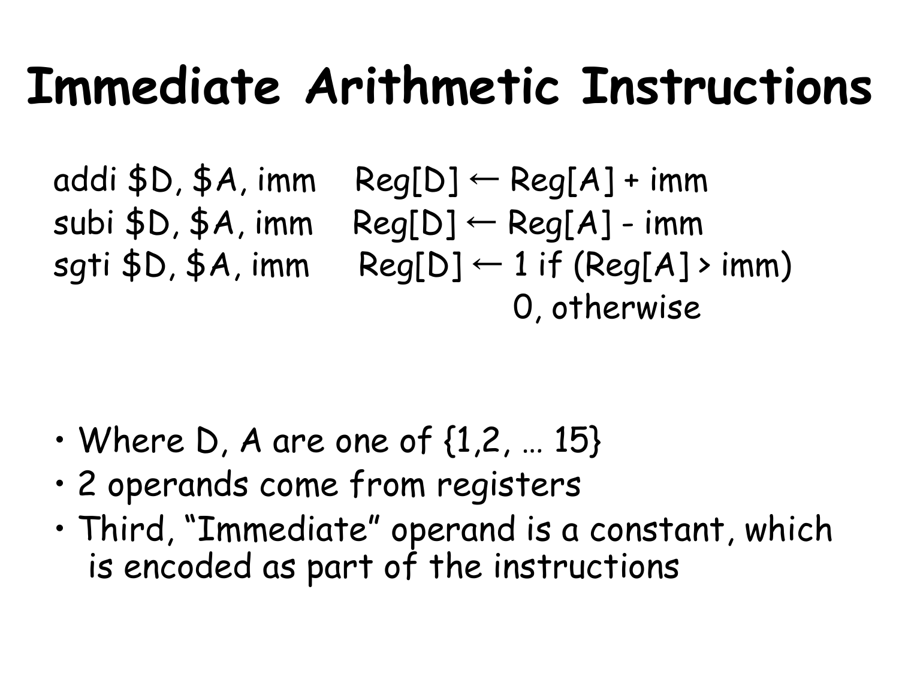#### **Immediate Arithmetic Instructions**

addi  $D$ ,  $A$ , imm Reg[D]  $\leftarrow$  Reg[A] + imm subi  $$D, $A, imm \text{Reg}[D] \leftarrow \text{Reg}[A]$  - imm sgti  $$D, $A, imm$  Reg[D]  $\leftarrow$  1 if (Reg[A] > imm) 0, otherwise

- $\cdot$  Where D, A are one of  $\{1,2,...,15\}$
- 2 operands come from registers
- Third, "Immediate" operand is a constant, which is encoded as part of the instructions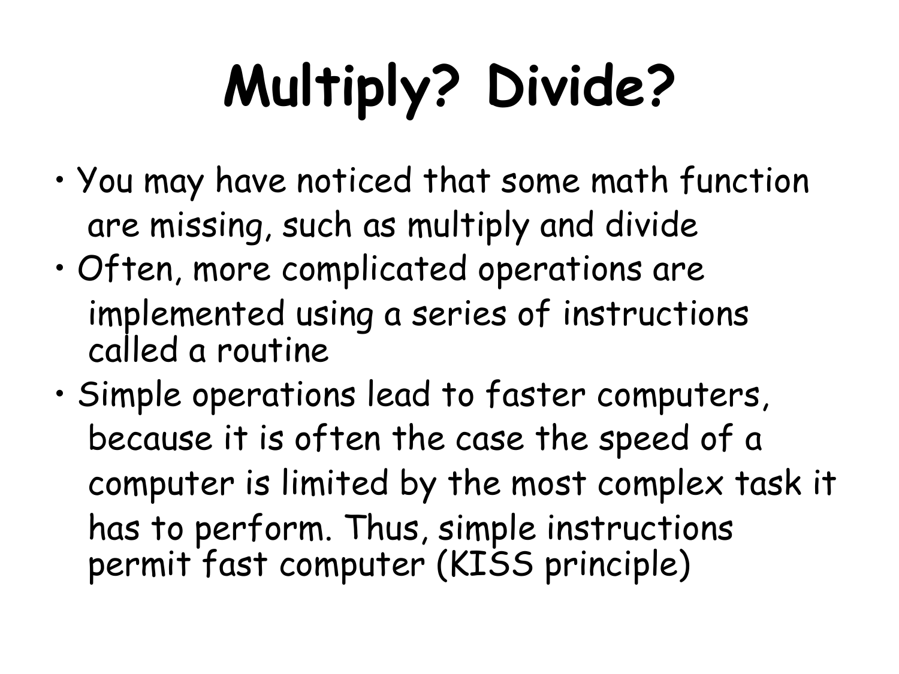# **Multiply? Divide?**

- You may have noticed that some math function are missing, such as multiply and divide
- Often, more complicated operations are implemented using a series of instructions called a routine
- Simple operations lead to faster computers, because it is often the case the speed of a computer is limited by the most complex task it has to perform. Thus, simple instructions permit fast computer (KISS principle)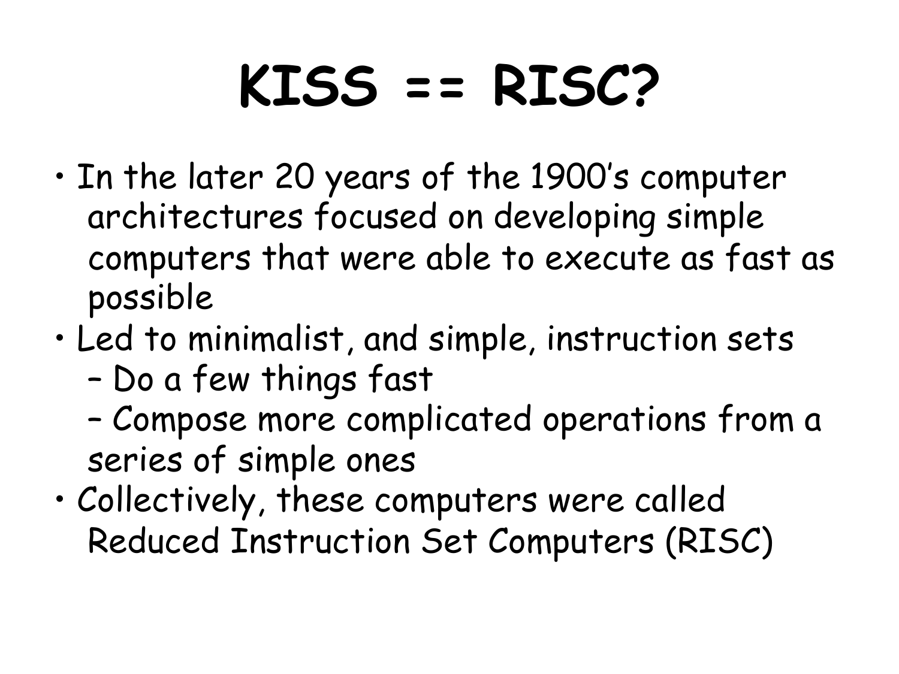## **KISS == RISC?**

- In the later 20 years of the 1900's computer architectures focused on developing simple computers that were able to execute as fast as possible
- Led to minimalist, and simple, instruction sets – Do a few things fast
	- Compose more complicated operations from a series of simple ones
- Collectively, these computers were called Reduced Instruction Set Computers (RISC)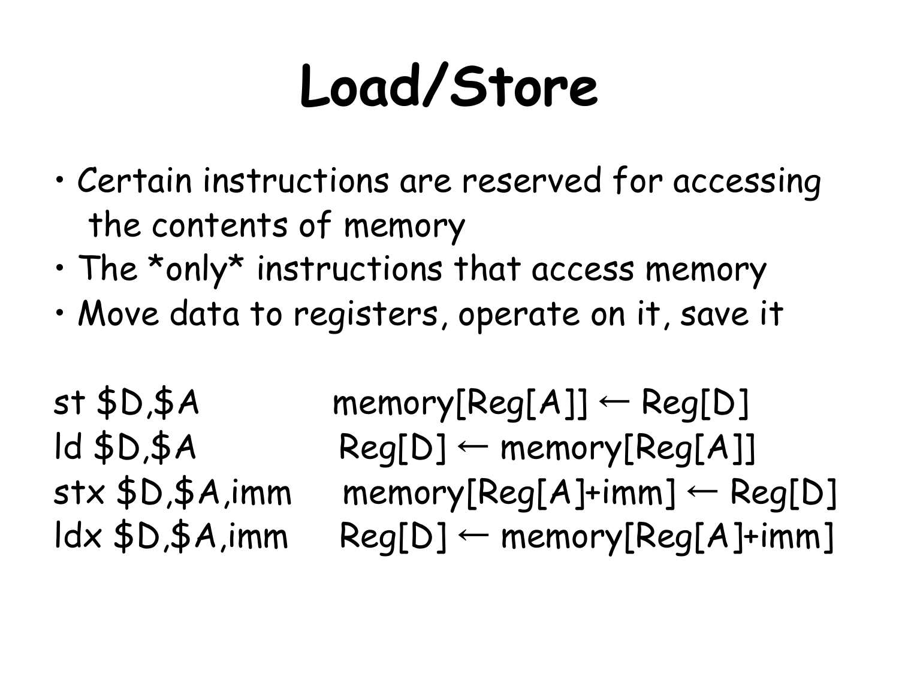## **Load/Store**

- Certain instructions are reserved for accessing the contents of memory
- The \*only\* instructions that access memory
- Move data to registers, operate on it, save it

 $st$  \$D,\$A memory[Reg[A]]  $\leftarrow$  Reg[D]  $ld$  \$D,\$A Reg[D]  $\leftarrow$  memory[Reg[A]]  $stx$  \$D,\$A,imm memory[Reg[A]+imm]  $\leftarrow$  Reg[D]  $ldx$  \$D,\$A,imm Reg[D]  $\leftarrow$  memory[Reg[A]+imm]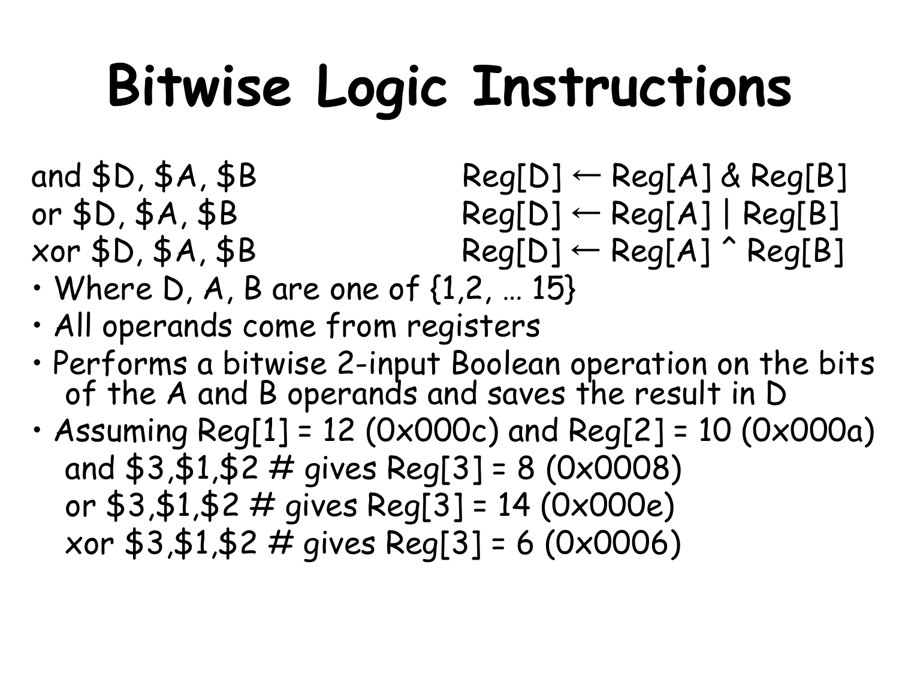## **Bitwise Logic Instructions**

and  $$D, $A, $B$  Reg[D]  $\leftarrow$  Reg[A] & Reg[B] or  $$D, $A, $B$  Reg[D]  $\leftarrow$  Reg[A] | Reg[B]  $xor $D, $A, $B$  Reg[D]  $\leftarrow$  Reg[A]  $\hat{ }$  Reg[B]

- $\cdot$  Where D, A, B are one of  $\{1,2,...15\}$
- All operands come from registers
- Performs a bitwise 2-input Boolean operation on the bits<br>of the A and B operands and saves the result in D
- Assuming Reg[1] = 12 (0x000c) and Reg[2] = 10 (0x000a) and  $$3, $1, $2 \#$  gives Reg[3] = 8 (0x0008) or \$3,\$1,\$2 # gives Reg[3] = 14 (0x000e) xor \$3,\$1,\$2 # gives Reg[3] = 6 (0x0006)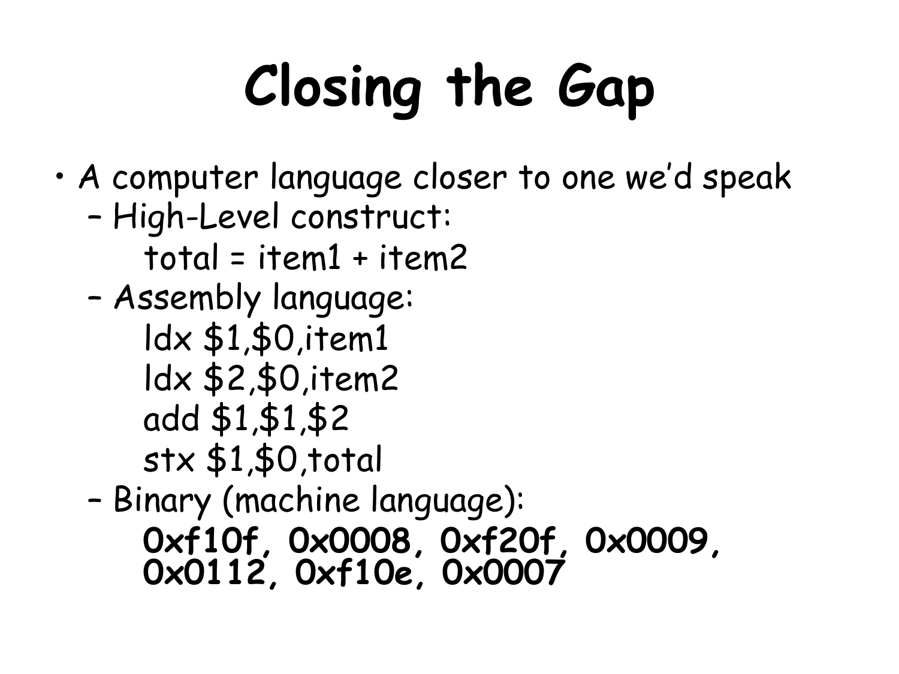# **Closing the Gap**

- A computer language closer to one we'd speak
	- High-Level construct: total = item1 + item2
	- Assembly language:
		- ldx \$1,\$0,item1
		- ldx \$2,\$0,item2
		- add \$1,\$1,\$2
		- stx \$1,\$0,total

– Binary (machine language): **0xf10f, 0x0008, 0xf20f, 0x0009, 0x0112, 0xf10e, 0x0007**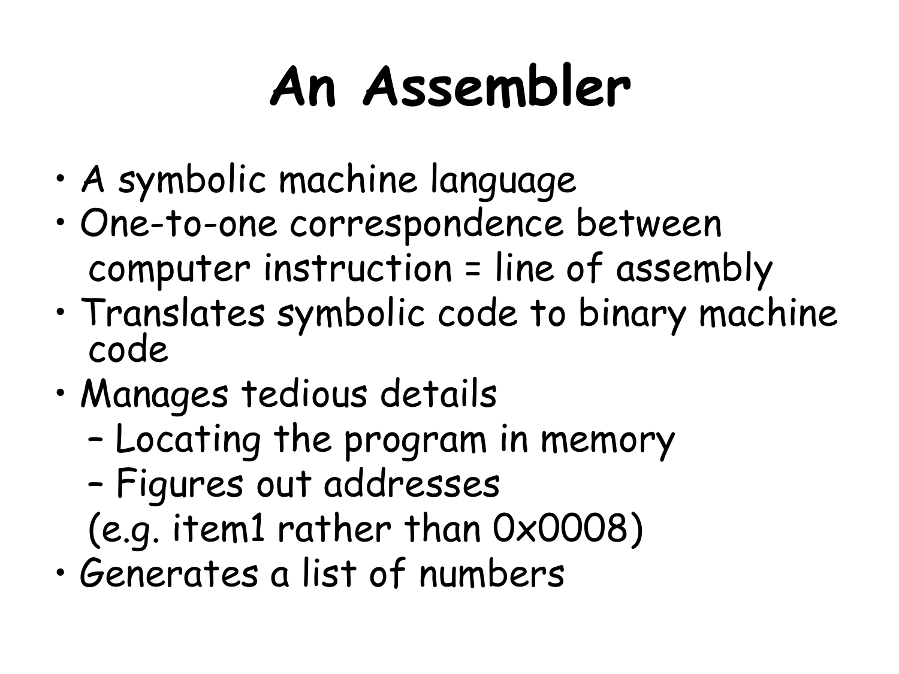### **An Assembler**

- A symbolic machine language
- One-to-one correspondence between computer instruction = line of assembly
- Translates symbolic code to binary machine code
- Manages tedious details
	- Locating the program in memory
	- Figures out addresses
	- (e.g. item1 rather than 0x0008)
- Generates a list of numbers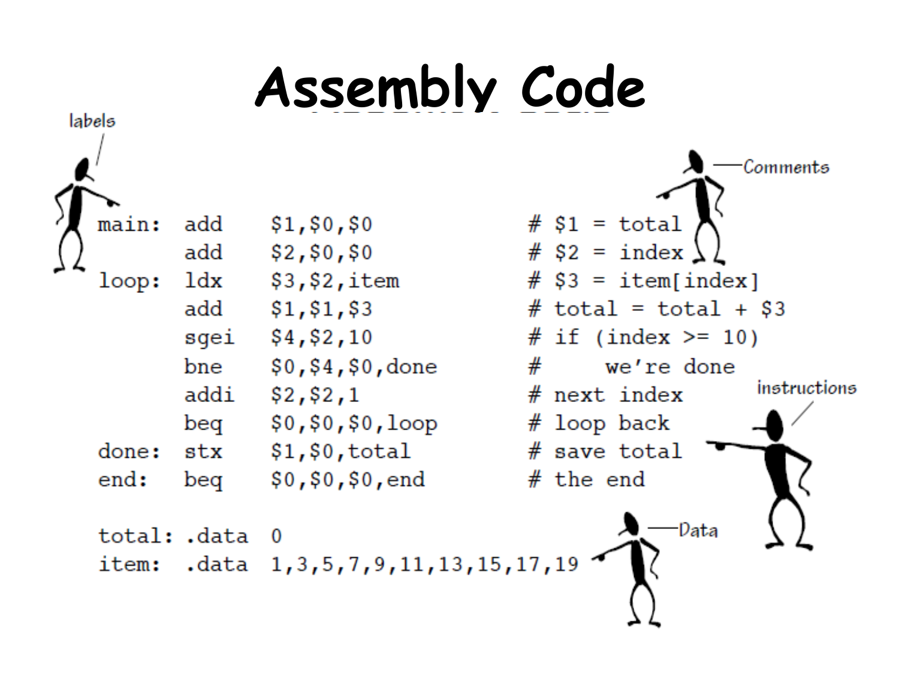#### **Assembly Code**

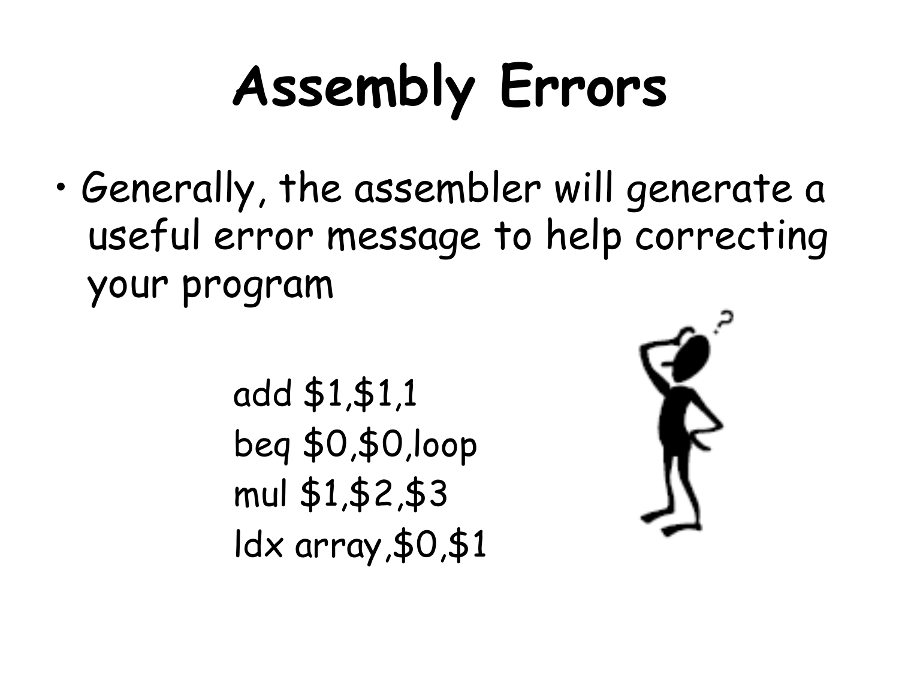## **Assembly Errors**

• Generally, the assembler will generate a useful error message to help correcting your program

> add \$1,\$1,1 beq \$0,\$0,loop mul \$1,\$2,\$3 ldx array,\$0,\$1

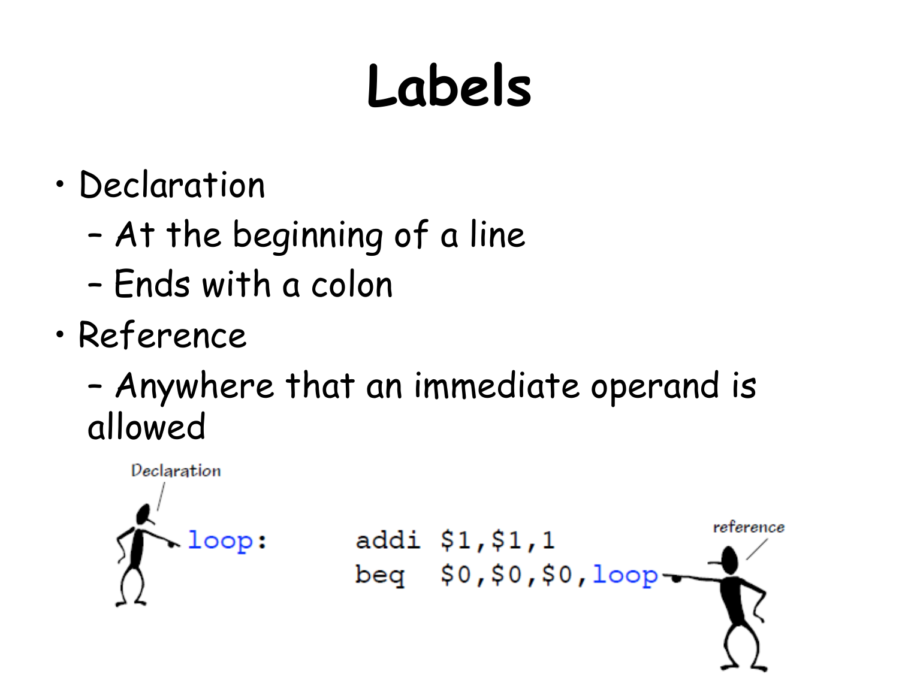## **Labels**

- Declaration
	- At the beginning of a line
	- Ends with a colon
- Reference
	- Anywhere that an immediate operand is allowed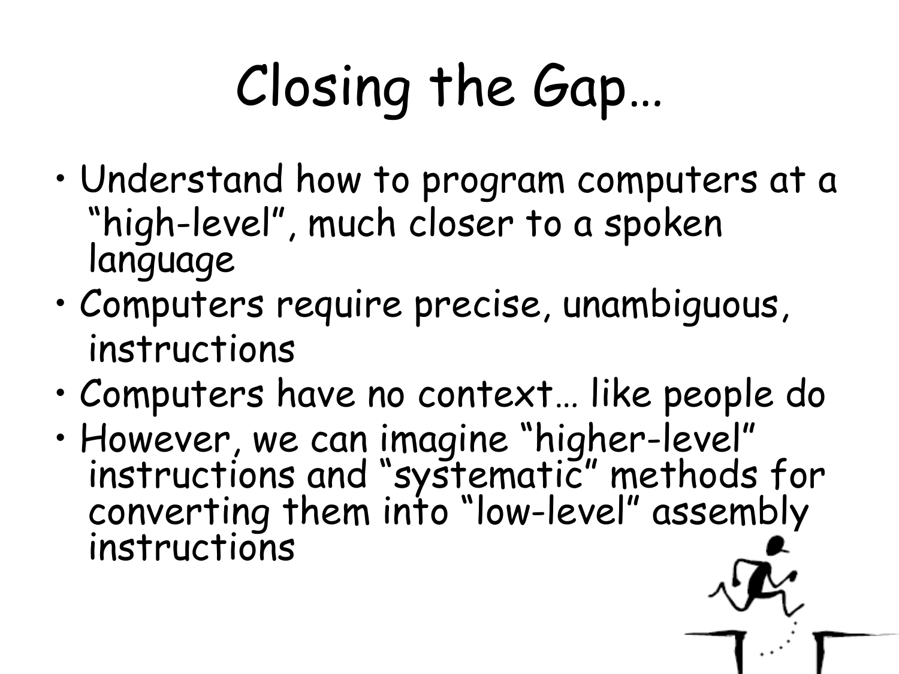## Closing the Gap…

- Understand how to program computers at a "high-level", much closer to a spoken language
- Computers require precise, unambiguous, instructions
- Computers have no context… like people do
- However, we can imagine "higher-level" instructions and "systematic" methods for converting them into "low-level" assembly instructions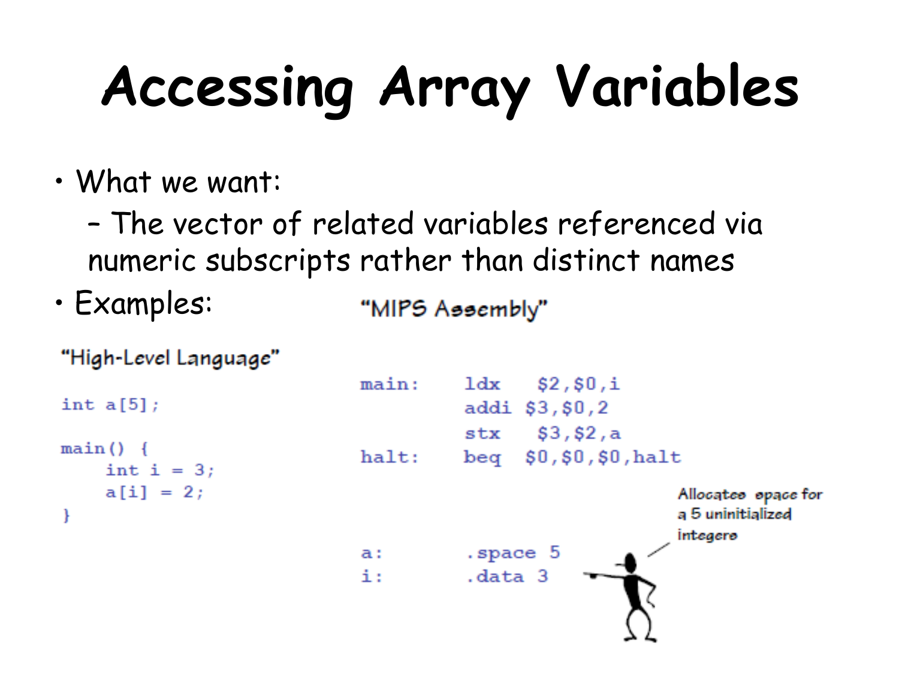## **Accessing Array Variables**

- What we want:
	- The vector of related variables referenced via numeric subscripts rather than distinct names
- Examples: "MIPS Assembly"

```
"High-Level Language"
```
int  $a[5]$ ;

```
main()int i = 3:
```

```
a[i] = 2;ł
```

```
main:ldx $2,50,iaddi $3, $0, 2
          stx $3,52,ahalt:
          beg $0, $0, $0, haltAllocates space for
                               a 5 uninitialized
                               integere
          .space 5
a : L
i:
          .data 3
```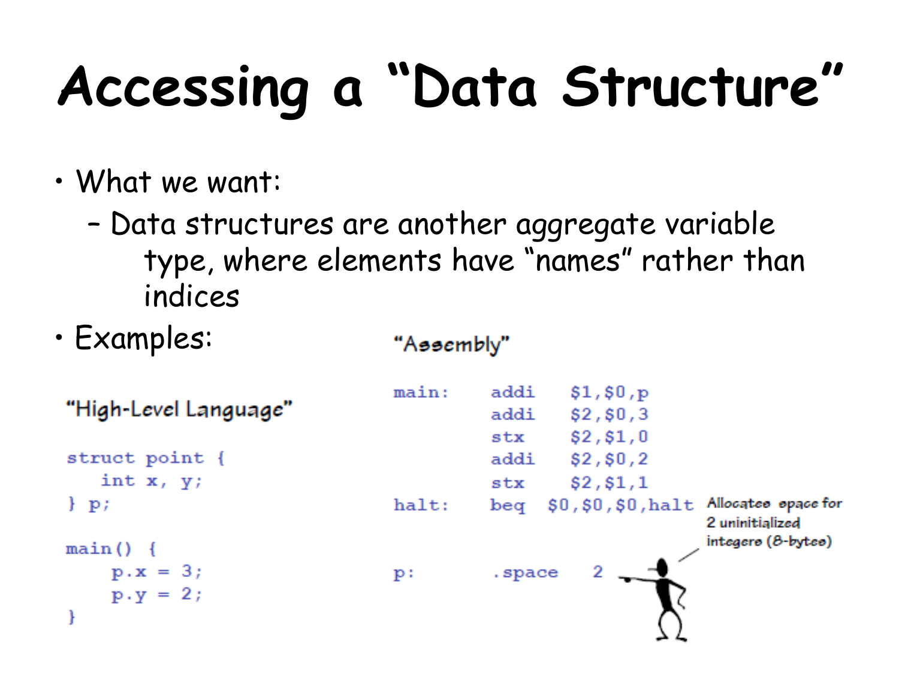## **Accessing a "Data Structure"**

- What we want:
	- Data structures are another aggregate variable type, where elements have "names" rather than indices

"Assembly"

• Examples:

"High-Level Language"

struct point { int  $x, y$ ;

```
\} p;
```

```
main()
```

```
p.x = 3;p.y = 2;
```

```
main:addi $1,$0,p
         addi $2,$0,3
          str $2, $1,0addi $2,$0,2
         _{\rm{stx}}$2, $1,1$0,$0,$0, halt Allocates space for
halt:
         beq2 uninitialized
                               integers (8-bytes)
                    2
          .space
p:
```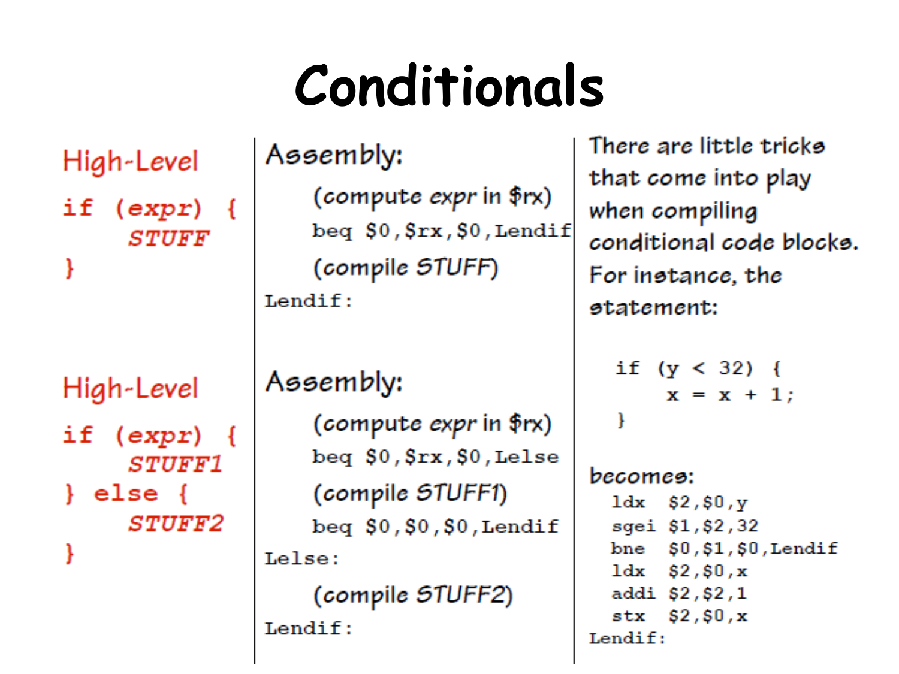#### **Conditionals**

High-Level

if  $(exp)$  { STUFF

High-Level if  $(expr)$  { *STUFF1*  $\}$  else  $\{$ **STUFF2** 

Assembly:

(compute expr in  $f(x)$ )  $beg$   $$0$ ,  $$rx$ ,  $$0$ , Lendif (compile STUFF)  $Lendif:$ 

Assembly:

(compute expr in \$rx)  $beg$   $$0$ ,  $$rx$ ,  $$0$ , Lelse (compile STUFF1)  $beg$  \$0,\$0,\$0,Lendif Lelse:

(compile STUFF2)  $Lendif:$ 

There are little tricks that come into play when compiling conditional code blocks. For instance, the statement:

if  $(y < 32)$  {  $x = x + 1$ ł

becomes:  $1dx$  \$2,\$0,y sgei \$1,\$2,32  $$0, $1, $0,$  Lendif  $bne$ ldx  $$2, $0, x$ addi \$2,\$2,1  $str$  \$2, \$0, x Lendif: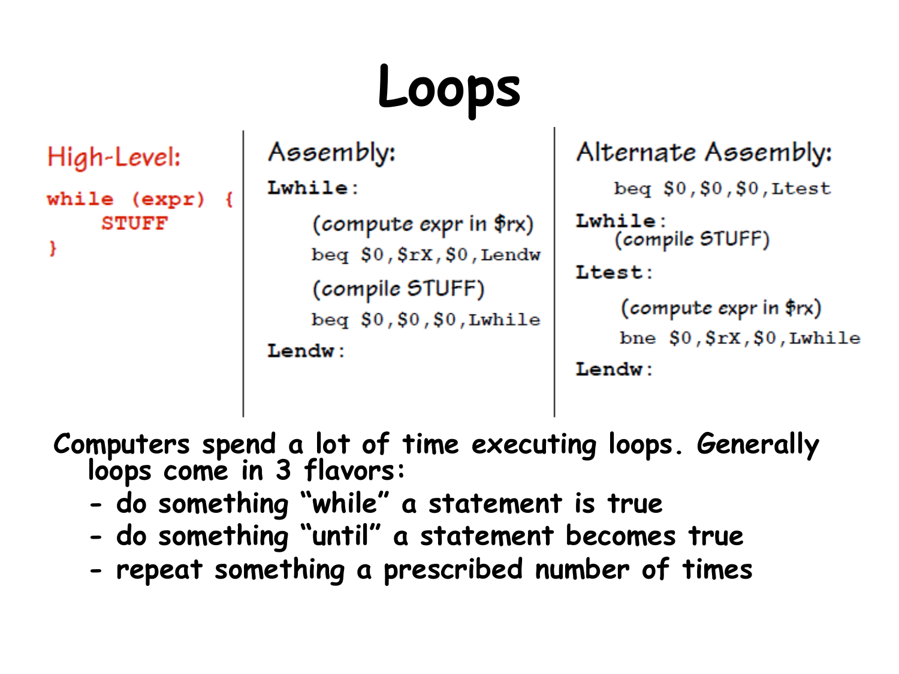## **Loops**

```
High-Level:
while (expr)
    STUFF
ł
```
#### Assembly:

#### Lwhile:

(compute expr in  $frx)$ )  $beg$   $$0$ ,  $$rx$ ,  $$0$ , Lendw (compile STUFF) beq  $$0, $0, $0,$  Lwhile Lendw:

#### Alternate Assembly:

```
beg $0, $0, $0,Ltest
```

```
Lwhile:
   (compile STUFF)
```

```
Ltest:
```

```
(compute expr in $rx)
bne $0, $rx, $0,Lwhile
```

```
Lendw:
```
**Computers spend a lot of time executing loops. Generally loops come in 3 flavors:** 

- **do something "while" a statement is true**
- **do something "until" a statement becomes true**
- **repeat something a prescribed number of times**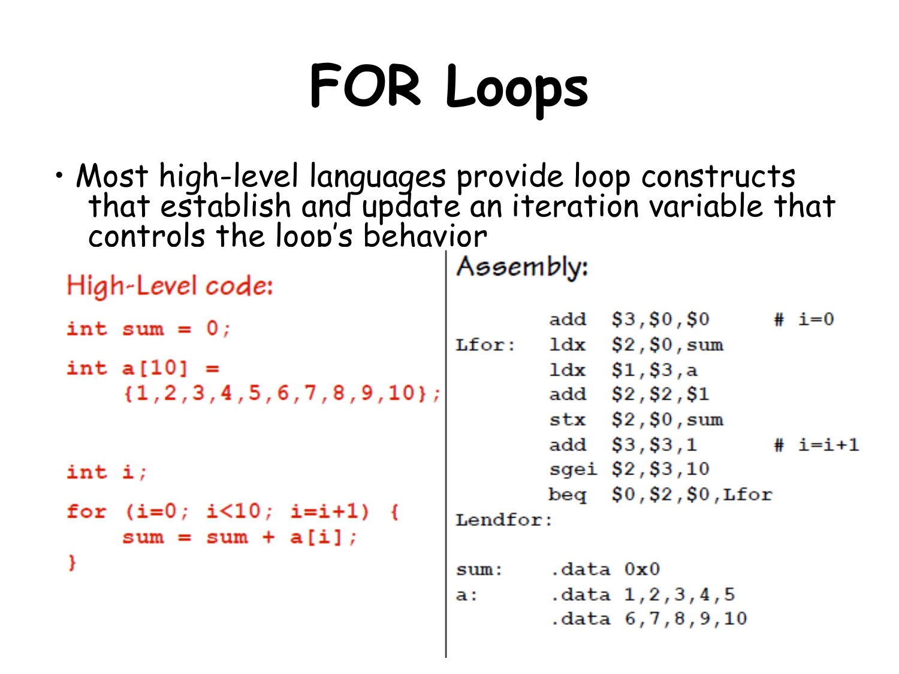## **FOR Loops**

• Most high-level languages provide loop constructs that establish and update an iteration variable that controls the loop's behavior

| High-Level code:                                            | Assembly:                     |  |                                                         |  |           |
|-------------------------------------------------------------|-------------------------------|--|---------------------------------------------------------|--|-----------|
| int sum = $0$ ;<br>int a $[10] =$                           | Lfor:                         |  | add \$3,\$0,\$0<br>ldx \$2,\$0,sum<br>$1dx$ $$1, $3, a$ |  | # $i=0$   |
| ${1, 2, 3, 4, 5, 6, 7, 8, 9, 10}$                           |                               |  | add \$2,\$2,\$1<br>$stx$ $$2, $0, sum$<br>add \$3,\$3,1 |  | $# i=i+1$ |
| int i;<br>for $(i=0; i<10; i=i+1)$ {<br>$sum = sum + a[i];$ |                               |  | sgei \$2,\$3,10<br>beg $$0, $2, $0,$ Lfor               |  |           |
|                                                             | Lendfor:<br>.data 0x0<br>sum: |  |                                                         |  |           |
|                                                             | a:                            |  | .data 1,2,3,4,5<br>.data 6, 7, 8, 9, 10                 |  |           |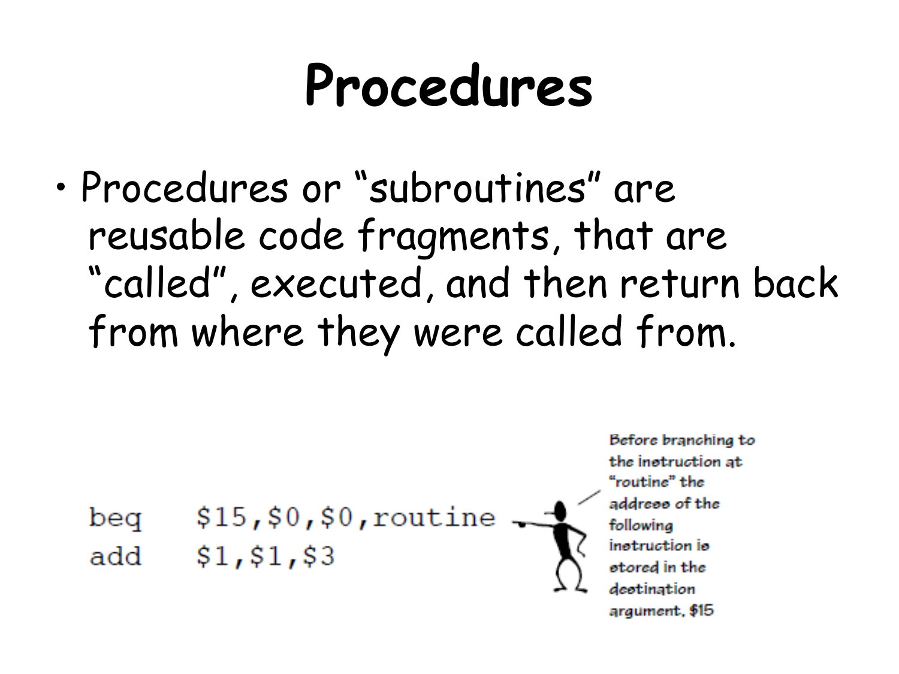#### **Procedures**

• Procedures or "subroutines" are reusable code fragments, that are "called", executed, and then return back from where they were called from.

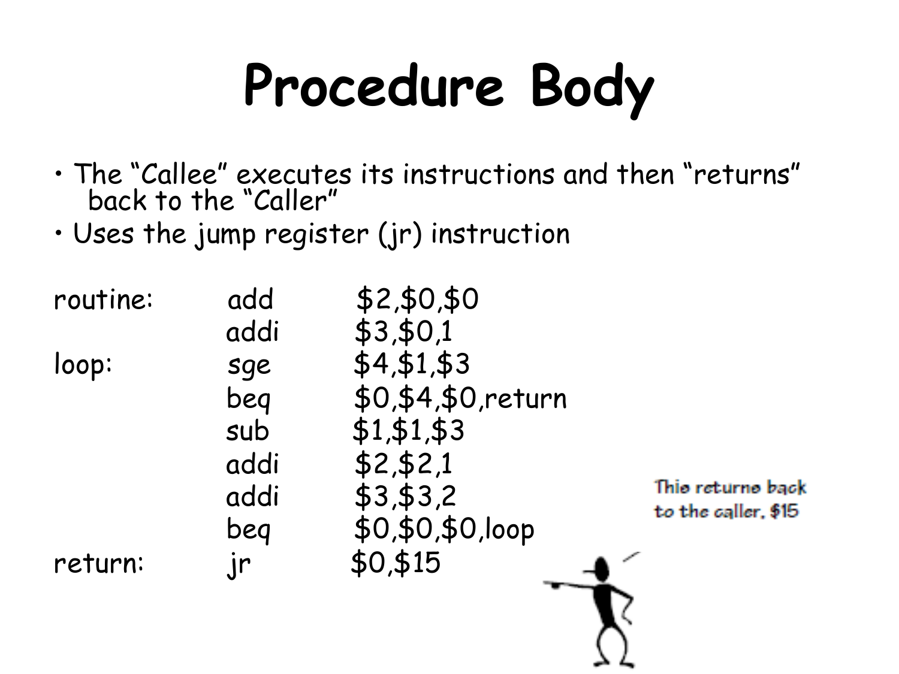## **Procedure Body**

- The "Callee" executes its instructions and then "returns" back to the "Caller"
- Uses the jump register (jr) instruction

| routine: | add  | \$2,\$0,\$0        |                                          |
|----------|------|--------------------|------------------------------------------|
|          | addi | \$3,50,1           |                                          |
| loop:    | sge  | \$4, \$1, \$3      |                                          |
|          | beq  | \$0,\$4,\$0,return |                                          |
|          | sub  | \$1, \$1, \$3      |                                          |
|          | addi | \$2, \$2, 1        |                                          |
|          | addi | \$3,53,2           | Thio returno back<br>to the caller, \$15 |
|          | beg  | \$0,\$0,\$0,loop   |                                          |
| return:  | .jr  | \$0,\$15           |                                          |
|          |      |                    |                                          |
|          |      |                    |                                          |

∸∸